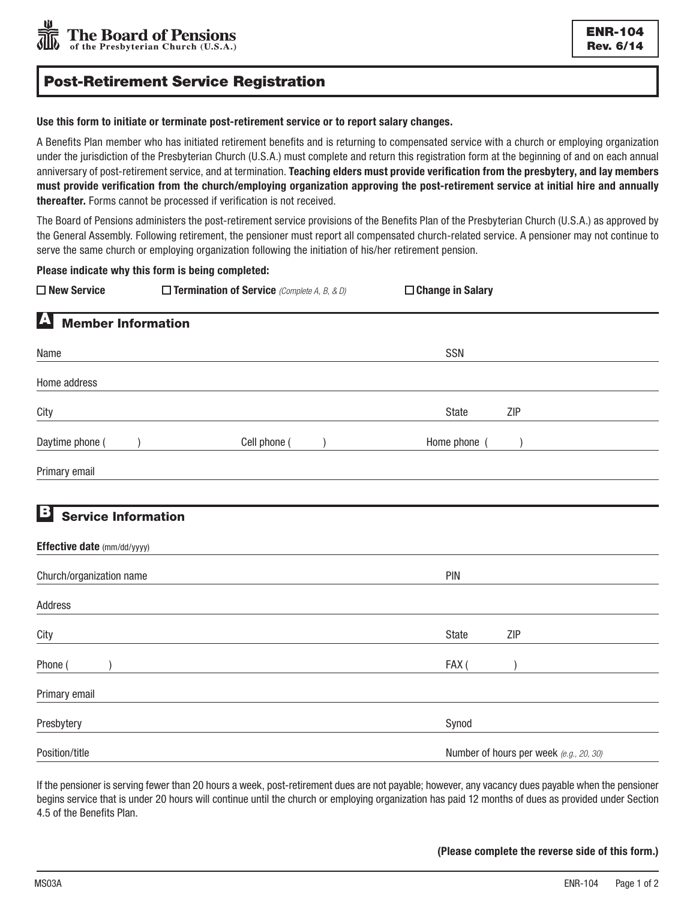# Post-Retirement Service Registration

### Use this form to initiate or terminate post-retirement service or to report salary changes.

A Benefits Plan member who has initiated retirement benefits and is returning to compensated service with a church or employing organization under the jurisdiction of the Presbyterian Church (U.S.A.) must complete and return this registration form at the beginning of and on each annual anniversary of post-retirement service, and at termination. Teaching elders must provide verification from the presbytery, and lay members must provide verification from the church/employing organization approving the post-retirement service at initial hire and annually thereafter. Forms cannot be processed if verification is not received.

The Board of Pensions administers the post-retirement service provisions of the Benefits Plan of the Presbyterian Church (U.S.A.) as approved by the General Assembly. Following retirement, the pensioner must report all compensated church-related service. A pensioner may not continue to serve the same church or employing organization following the initiation of his/her retirement pension.

Please indicate why this form is being completed:

| $\square$ New Service                         | $\Box$ Termination of Service (Complete A, B, & D) | □ Change in Salary                      |  |
|-----------------------------------------------|----------------------------------------------------|-----------------------------------------|--|
| $\blacktriangle$<br><b>Member Information</b> |                                                    |                                         |  |
| Name                                          |                                                    | SSN                                     |  |
| Home address                                  |                                                    |                                         |  |
| City                                          |                                                    | ZIP<br>State                            |  |
| Daytime phone (                               | Cell phone (                                       | Home phone (                            |  |
| Primary email                                 |                                                    |                                         |  |
|                                               |                                                    |                                         |  |
| В<br><b>Service Information</b>               |                                                    |                                         |  |
| Effective date (mm/dd/yyyy)                   |                                                    |                                         |  |
| Church/organization name                      |                                                    | PIN                                     |  |
| Address                                       |                                                    |                                         |  |
| City                                          |                                                    | State<br>ZIP                            |  |
| Phone (                                       |                                                    | FAX(                                    |  |
| Primary email                                 |                                                    |                                         |  |
| Presbytery                                    |                                                    | Synod                                   |  |
| Position/title                                |                                                    | Number of hours per week (e.g., 20, 30) |  |

If the pensioner is serving fewer than 20 hours a week, post-retirement dues are not payable; however, any vacancy dues payable when the pensioner begins service that is under 20 hours will continue until the church or employing organization has paid 12 months of dues as provided under Section 4.5 of the Benefits Plan.